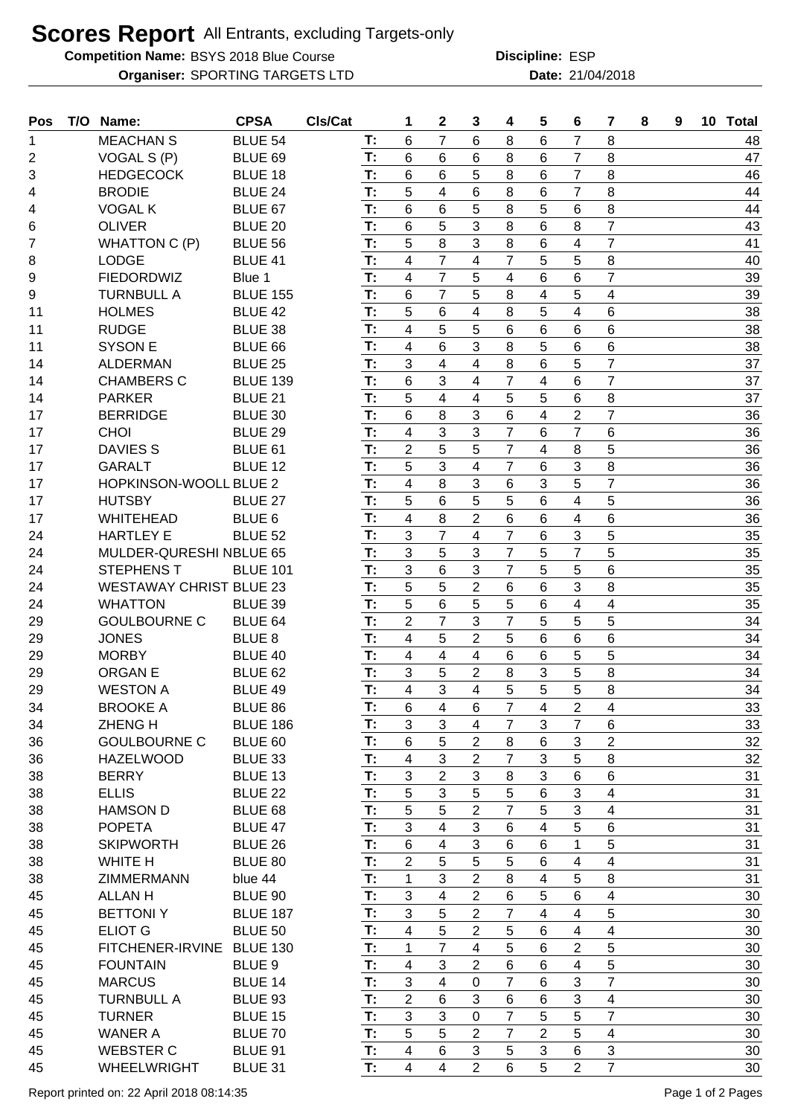## **Scores Report** All Entrants, excluding Targets-only

**Competition Name:** BSYS 2018 Blue Course **EXACTE ESP Discipline:** ESP

**Organiser:** SPORTING TARGETS LTD **21/04/2018 Date:** 21/04/2018 **Discipline:**

| <b>MEACHAN S</b><br><b>BLUE 54</b><br>$\overline{7}$<br>6<br>8<br>6<br>7<br>8<br>Т:<br>6<br>48<br>1<br>T:<br>47<br>2<br>VOGAL S (P)<br>BLUE 69<br>6<br>6<br>7<br>8<br>6<br>8<br>6<br>3<br>T:<br>6<br>5<br>8<br>7<br>8<br>46<br><b>HEDGECOCK</b><br>BLUE 18<br>6<br>6<br>5<br>4<br>$\overline{7}$<br>8<br>T:<br>6<br>8<br>6<br>44<br><b>BRODIE</b><br><b>BLUE 24</b><br>4<br>5<br>6<br>6<br>8<br>5<br>6<br>8<br><b>VOGAL K</b><br>BLUE 67<br>T:<br>44<br>4<br>$\overline{7}$<br>5<br>3<br><b>OLIVER</b><br>T:<br>6<br>8<br>6<br>43<br>6<br>BLUE 20<br>8<br>$\overline{7}$<br>T:<br>5<br>8<br>3<br>8<br>6<br>41<br>4<br>7<br><b>WHATTON C (P)</b><br><b>BLUE 56</b><br>$\overline{7}$<br>8<br>T:<br>4<br>$\overline{7}$<br>5<br>5<br>40<br>8<br><b>LODGE</b><br>BLUE 41<br>4<br>T:<br>$\overline{7}$<br>4<br>$\overline{7}$<br>6<br>39<br>9<br><b>FIEDORDWIZ</b><br>5<br>4<br>6<br>Blue 1<br>$\overline{7}$<br>5<br>T:<br>6<br>4<br>5<br>39<br>9<br><b>TURNBULL A</b><br><b>BLUE 155</b><br>8<br>4<br>5<br>6<br>8<br>5<br>6<br>38<br><b>HOLMES</b><br><b>BLUE 42</b><br>T:<br>4<br>4<br>11<br>5<br>5<br>6<br>6<br>6<br>4<br>38<br><b>RUDGE</b><br>BLUE 38<br>T:<br>6<br>11<br>3<br>5<br>6<br>8<br>6<br>38<br>T:<br>4<br>6<br><b>SYSON E</b><br>BLUE 66<br>11<br>T:<br>$\overline{7}$<br>37<br>3<br>$\overline{4}$<br>6<br>4<br>8<br>5<br><b>ALDERMAN</b><br><b>BLUE 25</b><br>14<br>$\overline{7}$<br>$6\phantom{1}$<br>3<br>$\overline{7}$<br>37<br><b>CHAMBERS C</b><br><b>BLUE 139</b><br>T:<br>4<br>4<br>6<br>14<br>T:<br>5<br>4<br>5<br>5<br>8<br>37<br><b>PARKER</b><br>BLUE 21<br>4<br>6<br>14<br>$\overline{7}$<br>8<br>3<br>T:<br>6<br>6<br>4<br>$\overline{2}$<br>36<br>17<br><b>BERRIDGE</b><br>BLUE 30<br>$\overline{7}$<br>3<br>3<br>$\overline{7}$<br>6<br><b>CHOI</b><br>$\overline{4}$<br>6<br>36<br>17<br>BLUE 29<br>T:<br>5<br>$\overline{7}$<br>5<br>$\overline{2}$<br>5<br>36<br>T:<br>4<br>8<br>17<br><b>DAVIES S</b><br>BLUE 61<br>3<br>8<br>36<br>T:<br>5<br>4<br>$\overline{7}$<br>6<br>3<br>17<br><b>GARALT</b><br>BLUE 12<br>T:<br>$\overline{7}$<br>8<br>3<br>5<br>36<br>$\overline{4}$<br>3<br>6<br>17<br><b>HOPKINSON-WOOLL BLUE 2</b><br>5<br>6<br>5<br>5<br>5<br>36<br><b>HUTSBY</b><br>BLUE 27<br>T:<br>6<br>4<br>17<br>T:<br>$\overline{2}$<br>6<br>4<br>8<br>6<br>4<br>6<br>36<br>17<br>BLUE <sub>6</sub><br><b>WHITEHEAD</b><br>$\overline{7}$<br>3<br>$\overline{7}$<br>3<br>5<br>35<br>T:<br>4<br>6<br>24<br><b>HARTLEY E</b><br><b>BLUE 52</b><br>5<br>$\overline{7}$<br>5<br>$\overline{7}$<br>5<br>3<br>3<br>35<br>T:<br>24<br>MULDER-QURESHI NBLUE 65<br>3<br>6<br>$\overline{7}$<br>5<br>35<br>T:<br>3<br>6<br>5<br>24<br><b>STEPHENST</b><br><b>BLUE 101</b><br>5<br>35<br>5<br>$\overline{2}$<br>6<br>3<br>8<br>24<br><b>WESTAWAY CHRIST BLUE 23</b><br>T:<br>6<br>T:<br>5<br>6<br>35<br>5<br>5<br>6<br>4<br>$\overline{\mathbf{4}}$<br>24<br><b>WHATTON</b><br>BLUE 39<br>$\overline{7}$<br>$\overline{2}$<br>$\overline{7}$<br>5<br>5<br>5<br>T:<br>3<br>34<br>29<br><b>GOULBOURNE C</b><br>BLUE 64<br>$\overline{2}$<br><b>JONES</b><br>T:<br>5<br>6<br>6<br>6<br>34<br><b>BLUE 8</b><br>4<br>5<br>29<br>4<br>4<br>6<br>5<br>4<br>6<br>5<br>34<br>29<br><b>MORBY</b><br><b>BLUE 40</b><br>T:<br>34<br>T:<br>3<br>5<br>3<br>5<br>8<br>$\overline{2}$<br>8<br>29<br><b>ORGANE</b><br>BLUE <sub>62</sub><br>3<br>34<br>T:<br>5<br>5<br>8<br>29<br><b>WESTON A</b><br>BLUE 49<br>4<br>5<br>4<br>34<br><b>BROOKE A</b><br>BLUE 86<br>$\,6$<br>7<br>$\overline{c}$<br>33<br>6<br>Т:<br>4<br>4<br>4<br>$\overline{7}$<br>3<br>3<br>$\overline{7}$<br>T:<br>4<br>3<br>6<br>33<br><b>ZHENGH</b><br><b>BLUE 186</b><br>34<br>5<br>$\overline{2}$<br>$\overline{2}$<br><b>GOULBOURNE C</b><br>BLUE 60<br>T:<br>$6\phantom{1}$<br>8<br>6<br>3<br>32<br>36<br>$\mathfrak{S}$<br>$\overline{7}$<br>8<br><b>HAZELWOOD</b><br>BLUE 33<br>T:<br>4<br>$\overline{2}$<br>3<br>5<br>32<br>36<br>$\overline{2}$<br>3<br>3<br>T:<br>3<br>$6\phantom{1}$<br>6<br>31<br>8<br>38<br><b>BERRY</b><br>BLUE 13<br>T:<br>3<br>5<br>3<br>31<br>5<br>5<br>6<br><b>ELLIS</b><br><b>BLUE 22</b><br>$\overline{\mathbf{4}}$<br>38<br>5<br>3<br>T:<br>5<br>$\overline{2}$<br>$\overline{7}$<br>5<br>31<br>38<br>BLUE 68<br>$\overline{\mathcal{A}}$<br><b>HAMSON D</b><br>4<br>5<br>T:<br>3<br>3<br>4<br>31<br>38<br><b>POPETA</b><br>BLUE 47<br>6<br>6<br>T:<br>3<br>5<br>$6\phantom{1}$<br>4<br>6<br>6<br>1<br>31<br>38<br><b>SKIPWORTH</b><br><b>BLUE 26</b><br>$\overline{2}$<br>5<br>5<br>5<br>6<br>$\overline{\mathbf{4}}$<br>31<br>38<br>WHITE H<br>BLUE 80<br>T:<br>4<br>3<br>T:<br>$\overline{2}$<br>5<br>31<br>1<br>8<br>4<br>8<br>38<br>ZIMMERMANN<br>blue 44<br>T:<br>$\overline{\mathbf{4}}$<br>3<br>$\overline{2}$<br>5<br>6<br>6<br>$\overline{\mathbf{4}}$<br>30<br>45<br><b>ALLANH</b><br>BLUE 90<br>T:<br>5<br>3<br>5<br>$\overline{2}$<br>30<br>45<br><b>BETTONIY</b><br><b>BLUE 187</b><br>7<br>4<br>4<br>5<br>T:<br>$\overline{2}$<br>4<br>5<br>30<br>45<br><b>ELIOT G</b><br><b>BLUE 50</b><br>6<br>4<br>$\overline{4}$<br>$\overline{7}$<br>$\overline{c}$<br>5<br>T:<br>$\mathbf{1}$<br>4<br>5<br>6<br>30<br>45<br>FITCHENER-IRVINE<br><b>BLUE 130</b><br>3<br>$\overline{2}$<br>$6\phantom{1}$<br>5<br><b>FOUNTAIN</b><br>BLUE <sub>9</sub><br>T:<br>$\overline{4}$<br>6<br>$\overline{\mathbf{4}}$<br>45<br>30<br>$\overline{7}$<br>3<br>$\overline{\mathbf{4}}$<br>$\overline{7}$<br>3<br><b>MARCUS</b><br>T:<br>0<br>6<br>30<br>45<br>BLUE 14<br>T:<br>$\overline{2}$<br>$\,6$<br>6<br>$\mathbf{3}$<br>30<br>3<br>6<br>$\overline{\mathbf{4}}$<br>45<br><b>TURNBULL A</b><br><b>BLUE 93</b><br>3<br>5<br>T:<br>$\overline{7}$<br>5<br>$\overline{7}$<br>3<br>30<br>45<br><b>TURNER</b><br><b>BLUE 15</b><br>0<br>5<br>T:<br>5<br>$\overline{2}$<br>$\overline{2}$<br>5<br>30<br>45<br><b>WANER A</b><br>BLUE 70<br>$\overline{7}$<br>$\overline{4}$<br>6<br>3<br>4<br>3<br>5<br>3<br>6<br>30<br>45<br><b>WEBSTER C</b><br>BLUE 91<br>T:<br>$\overline{7}$<br>T:<br>4<br>$\overline{2}$<br>$6\phantom{1}$<br>$\overline{5}$<br>$\overline{2}$<br>30<br>45<br>WHEELWRIGHT<br>BLUE 31<br>4 | Pos | T/O Name: | <b>CPSA</b> | CIs/Cat | 1 | $\mathbf{2}$ | 3 | 4 | 5 | $6\phantom{1}$ | $\overline{7}$ | 8 | 9 | 10 Total |
|-------------------------------------------------------------------------------------------------------------------------------------------------------------------------------------------------------------------------------------------------------------------------------------------------------------------------------------------------------------------------------------------------------------------------------------------------------------------------------------------------------------------------------------------------------------------------------------------------------------------------------------------------------------------------------------------------------------------------------------------------------------------------------------------------------------------------------------------------------------------------------------------------------------------------------------------------------------------------------------------------------------------------------------------------------------------------------------------------------------------------------------------------------------------------------------------------------------------------------------------------------------------------------------------------------------------------------------------------------------------------------------------------------------------------------------------------------------------------------------------------------------------------------------------------------------------------------------------------------------------------------------------------------------------------------------------------------------------------------------------------------------------------------------------------------------------------------------------------------------------------------------------------------------------------------------------------------------------------------------------------------------------------------------------------------------------------------------------------------------------------------------------------------------------------------------------------------------------------------------------------------------------------------------------------------------------------------------------------------------------------------------------------------------------------------------------------------------------------------------------------------------------------------------------------------------------------------------------------------------------------------------------------------------------------------------------------------------------------------------------------------------------------------------------------------------------------------------------------------------------------------------------------------------------------------------------------------------------------------------------------------------------------------------------------------------------------------------------------------------------------------------------------------------------------------------------------------------------------------------------------------------------------------------------------------------------------------------------------------------------------------------------------------------------------------------------------------------------------------------------------------------------------------------------------------------------------------------------------------------------------------------------------------------------------------------------------------------------------------------------------------------------------------------------------------------------------------------------------------------------------------------------------------------------------------------------------------------------------------------------------------------------------------------------------------------------------------------------------------------------------------------------------------------------------------------------------------------------------------------------------------------------------------------------------------------------------------------------------------------------------------------------------------------------------------------------------------------------------------------------------------------------------------------------------------------------------------------------------------------------------------------------------------------------------------------------------------------------------------------------------------------------------------------------------------------------------------------------------------------------------------------------------------------------------------------------------------------------------------------------------------------------------------------------------------------------------------------------------------------------------------------------------------------------------------------------------------------------------------------------------------------------------------------------------------------------------------------------------------------------------------------------------------------------------------------------------------------------------------------------------------------------------------------------------------------------------------------------------------------------------------------------------------------------------------------------------------------------------------------------------------------------------------------------------------------------------------------------------------------------------------------------------------------------------------------------------------------------------------------------------------------------------------------------------------------------------------------------------------------------------------|-----|-----------|-------------|---------|---|--------------|---|---|---|----------------|----------------|---|---|----------|
|                                                                                                                                                                                                                                                                                                                                                                                                                                                                                                                                                                                                                                                                                                                                                                                                                                                                                                                                                                                                                                                                                                                                                                                                                                                                                                                                                                                                                                                                                                                                                                                                                                                                                                                                                                                                                                                                                                                                                                                                                                                                                                                                                                                                                                                                                                                                                                                                                                                                                                                                                                                                                                                                                                                                                                                                                                                                                                                                                                                                                                                                                                                                                                                                                                                                                                                                                                                                                                                                                                                                                                                                                                                                                                                                                                                                                                                                                                                                                                                                                                                                                                                                                                                                                                                                                                                                                                                                                                                                                                                                                                                                                                                                                                                                                                                                                                                                                                                                                                                                                                                                                                                                                                                                                                                                                                                                                                                                                                                                                                                                                                                                                                                                                                                                                                                                                                                                                                                                                                                                                                                                                                                               |     |           |             |         |   |              |   |   |   |                |                |   |   |          |
|                                                                                                                                                                                                                                                                                                                                                                                                                                                                                                                                                                                                                                                                                                                                                                                                                                                                                                                                                                                                                                                                                                                                                                                                                                                                                                                                                                                                                                                                                                                                                                                                                                                                                                                                                                                                                                                                                                                                                                                                                                                                                                                                                                                                                                                                                                                                                                                                                                                                                                                                                                                                                                                                                                                                                                                                                                                                                                                                                                                                                                                                                                                                                                                                                                                                                                                                                                                                                                                                                                                                                                                                                                                                                                                                                                                                                                                                                                                                                                                                                                                                                                                                                                                                                                                                                                                                                                                                                                                                                                                                                                                                                                                                                                                                                                                                                                                                                                                                                                                                                                                                                                                                                                                                                                                                                                                                                                                                                                                                                                                                                                                                                                                                                                                                                                                                                                                                                                                                                                                                                                                                                                                               |     |           |             |         |   |              |   |   |   |                |                |   |   |          |
|                                                                                                                                                                                                                                                                                                                                                                                                                                                                                                                                                                                                                                                                                                                                                                                                                                                                                                                                                                                                                                                                                                                                                                                                                                                                                                                                                                                                                                                                                                                                                                                                                                                                                                                                                                                                                                                                                                                                                                                                                                                                                                                                                                                                                                                                                                                                                                                                                                                                                                                                                                                                                                                                                                                                                                                                                                                                                                                                                                                                                                                                                                                                                                                                                                                                                                                                                                                                                                                                                                                                                                                                                                                                                                                                                                                                                                                                                                                                                                                                                                                                                                                                                                                                                                                                                                                                                                                                                                                                                                                                                                                                                                                                                                                                                                                                                                                                                                                                                                                                                                                                                                                                                                                                                                                                                                                                                                                                                                                                                                                                                                                                                                                                                                                                                                                                                                                                                                                                                                                                                                                                                                                               |     |           |             |         |   |              |   |   |   |                |                |   |   |          |
|                                                                                                                                                                                                                                                                                                                                                                                                                                                                                                                                                                                                                                                                                                                                                                                                                                                                                                                                                                                                                                                                                                                                                                                                                                                                                                                                                                                                                                                                                                                                                                                                                                                                                                                                                                                                                                                                                                                                                                                                                                                                                                                                                                                                                                                                                                                                                                                                                                                                                                                                                                                                                                                                                                                                                                                                                                                                                                                                                                                                                                                                                                                                                                                                                                                                                                                                                                                                                                                                                                                                                                                                                                                                                                                                                                                                                                                                                                                                                                                                                                                                                                                                                                                                                                                                                                                                                                                                                                                                                                                                                                                                                                                                                                                                                                                                                                                                                                                                                                                                                                                                                                                                                                                                                                                                                                                                                                                                                                                                                                                                                                                                                                                                                                                                                                                                                                                                                                                                                                                                                                                                                                                               |     |           |             |         |   |              |   |   |   |                |                |   |   |          |
|                                                                                                                                                                                                                                                                                                                                                                                                                                                                                                                                                                                                                                                                                                                                                                                                                                                                                                                                                                                                                                                                                                                                                                                                                                                                                                                                                                                                                                                                                                                                                                                                                                                                                                                                                                                                                                                                                                                                                                                                                                                                                                                                                                                                                                                                                                                                                                                                                                                                                                                                                                                                                                                                                                                                                                                                                                                                                                                                                                                                                                                                                                                                                                                                                                                                                                                                                                                                                                                                                                                                                                                                                                                                                                                                                                                                                                                                                                                                                                                                                                                                                                                                                                                                                                                                                                                                                                                                                                                                                                                                                                                                                                                                                                                                                                                                                                                                                                                                                                                                                                                                                                                                                                                                                                                                                                                                                                                                                                                                                                                                                                                                                                                                                                                                                                                                                                                                                                                                                                                                                                                                                                                               |     |           |             |         |   |              |   |   |   |                |                |   |   |          |
|                                                                                                                                                                                                                                                                                                                                                                                                                                                                                                                                                                                                                                                                                                                                                                                                                                                                                                                                                                                                                                                                                                                                                                                                                                                                                                                                                                                                                                                                                                                                                                                                                                                                                                                                                                                                                                                                                                                                                                                                                                                                                                                                                                                                                                                                                                                                                                                                                                                                                                                                                                                                                                                                                                                                                                                                                                                                                                                                                                                                                                                                                                                                                                                                                                                                                                                                                                                                                                                                                                                                                                                                                                                                                                                                                                                                                                                                                                                                                                                                                                                                                                                                                                                                                                                                                                                                                                                                                                                                                                                                                                                                                                                                                                                                                                                                                                                                                                                                                                                                                                                                                                                                                                                                                                                                                                                                                                                                                                                                                                                                                                                                                                                                                                                                                                                                                                                                                                                                                                                                                                                                                                                               |     |           |             |         |   |              |   |   |   |                |                |   |   |          |
|                                                                                                                                                                                                                                                                                                                                                                                                                                                                                                                                                                                                                                                                                                                                                                                                                                                                                                                                                                                                                                                                                                                                                                                                                                                                                                                                                                                                                                                                                                                                                                                                                                                                                                                                                                                                                                                                                                                                                                                                                                                                                                                                                                                                                                                                                                                                                                                                                                                                                                                                                                                                                                                                                                                                                                                                                                                                                                                                                                                                                                                                                                                                                                                                                                                                                                                                                                                                                                                                                                                                                                                                                                                                                                                                                                                                                                                                                                                                                                                                                                                                                                                                                                                                                                                                                                                                                                                                                                                                                                                                                                                                                                                                                                                                                                                                                                                                                                                                                                                                                                                                                                                                                                                                                                                                                                                                                                                                                                                                                                                                                                                                                                                                                                                                                                                                                                                                                                                                                                                                                                                                                                                               |     |           |             |         |   |              |   |   |   |                |                |   |   |          |
|                                                                                                                                                                                                                                                                                                                                                                                                                                                                                                                                                                                                                                                                                                                                                                                                                                                                                                                                                                                                                                                                                                                                                                                                                                                                                                                                                                                                                                                                                                                                                                                                                                                                                                                                                                                                                                                                                                                                                                                                                                                                                                                                                                                                                                                                                                                                                                                                                                                                                                                                                                                                                                                                                                                                                                                                                                                                                                                                                                                                                                                                                                                                                                                                                                                                                                                                                                                                                                                                                                                                                                                                                                                                                                                                                                                                                                                                                                                                                                                                                                                                                                                                                                                                                                                                                                                                                                                                                                                                                                                                                                                                                                                                                                                                                                                                                                                                                                                                                                                                                                                                                                                                                                                                                                                                                                                                                                                                                                                                                                                                                                                                                                                                                                                                                                                                                                                                                                                                                                                                                                                                                                                               |     |           |             |         |   |              |   |   |   |                |                |   |   |          |
|                                                                                                                                                                                                                                                                                                                                                                                                                                                                                                                                                                                                                                                                                                                                                                                                                                                                                                                                                                                                                                                                                                                                                                                                                                                                                                                                                                                                                                                                                                                                                                                                                                                                                                                                                                                                                                                                                                                                                                                                                                                                                                                                                                                                                                                                                                                                                                                                                                                                                                                                                                                                                                                                                                                                                                                                                                                                                                                                                                                                                                                                                                                                                                                                                                                                                                                                                                                                                                                                                                                                                                                                                                                                                                                                                                                                                                                                                                                                                                                                                                                                                                                                                                                                                                                                                                                                                                                                                                                                                                                                                                                                                                                                                                                                                                                                                                                                                                                                                                                                                                                                                                                                                                                                                                                                                                                                                                                                                                                                                                                                                                                                                                                                                                                                                                                                                                                                                                                                                                                                                                                                                                                               |     |           |             |         |   |              |   |   |   |                |                |   |   |          |
|                                                                                                                                                                                                                                                                                                                                                                                                                                                                                                                                                                                                                                                                                                                                                                                                                                                                                                                                                                                                                                                                                                                                                                                                                                                                                                                                                                                                                                                                                                                                                                                                                                                                                                                                                                                                                                                                                                                                                                                                                                                                                                                                                                                                                                                                                                                                                                                                                                                                                                                                                                                                                                                                                                                                                                                                                                                                                                                                                                                                                                                                                                                                                                                                                                                                                                                                                                                                                                                                                                                                                                                                                                                                                                                                                                                                                                                                                                                                                                                                                                                                                                                                                                                                                                                                                                                                                                                                                                                                                                                                                                                                                                                                                                                                                                                                                                                                                                                                                                                                                                                                                                                                                                                                                                                                                                                                                                                                                                                                                                                                                                                                                                                                                                                                                                                                                                                                                                                                                                                                                                                                                                                               |     |           |             |         |   |              |   |   |   |                |                |   |   |          |
|                                                                                                                                                                                                                                                                                                                                                                                                                                                                                                                                                                                                                                                                                                                                                                                                                                                                                                                                                                                                                                                                                                                                                                                                                                                                                                                                                                                                                                                                                                                                                                                                                                                                                                                                                                                                                                                                                                                                                                                                                                                                                                                                                                                                                                                                                                                                                                                                                                                                                                                                                                                                                                                                                                                                                                                                                                                                                                                                                                                                                                                                                                                                                                                                                                                                                                                                                                                                                                                                                                                                                                                                                                                                                                                                                                                                                                                                                                                                                                                                                                                                                                                                                                                                                                                                                                                                                                                                                                                                                                                                                                                                                                                                                                                                                                                                                                                                                                                                                                                                                                                                                                                                                                                                                                                                                                                                                                                                                                                                                                                                                                                                                                                                                                                                                                                                                                                                                                                                                                                                                                                                                                                               |     |           |             |         |   |              |   |   |   |                |                |   |   |          |
|                                                                                                                                                                                                                                                                                                                                                                                                                                                                                                                                                                                                                                                                                                                                                                                                                                                                                                                                                                                                                                                                                                                                                                                                                                                                                                                                                                                                                                                                                                                                                                                                                                                                                                                                                                                                                                                                                                                                                                                                                                                                                                                                                                                                                                                                                                                                                                                                                                                                                                                                                                                                                                                                                                                                                                                                                                                                                                                                                                                                                                                                                                                                                                                                                                                                                                                                                                                                                                                                                                                                                                                                                                                                                                                                                                                                                                                                                                                                                                                                                                                                                                                                                                                                                                                                                                                                                                                                                                                                                                                                                                                                                                                                                                                                                                                                                                                                                                                                                                                                                                                                                                                                                                                                                                                                                                                                                                                                                                                                                                                                                                                                                                                                                                                                                                                                                                                                                                                                                                                                                                                                                                                               |     |           |             |         |   |              |   |   |   |                |                |   |   |          |
|                                                                                                                                                                                                                                                                                                                                                                                                                                                                                                                                                                                                                                                                                                                                                                                                                                                                                                                                                                                                                                                                                                                                                                                                                                                                                                                                                                                                                                                                                                                                                                                                                                                                                                                                                                                                                                                                                                                                                                                                                                                                                                                                                                                                                                                                                                                                                                                                                                                                                                                                                                                                                                                                                                                                                                                                                                                                                                                                                                                                                                                                                                                                                                                                                                                                                                                                                                                                                                                                                                                                                                                                                                                                                                                                                                                                                                                                                                                                                                                                                                                                                                                                                                                                                                                                                                                                                                                                                                                                                                                                                                                                                                                                                                                                                                                                                                                                                                                                                                                                                                                                                                                                                                                                                                                                                                                                                                                                                                                                                                                                                                                                                                                                                                                                                                                                                                                                                                                                                                                                                                                                                                                               |     |           |             |         |   |              |   |   |   |                |                |   |   |          |
|                                                                                                                                                                                                                                                                                                                                                                                                                                                                                                                                                                                                                                                                                                                                                                                                                                                                                                                                                                                                                                                                                                                                                                                                                                                                                                                                                                                                                                                                                                                                                                                                                                                                                                                                                                                                                                                                                                                                                                                                                                                                                                                                                                                                                                                                                                                                                                                                                                                                                                                                                                                                                                                                                                                                                                                                                                                                                                                                                                                                                                                                                                                                                                                                                                                                                                                                                                                                                                                                                                                                                                                                                                                                                                                                                                                                                                                                                                                                                                                                                                                                                                                                                                                                                                                                                                                                                                                                                                                                                                                                                                                                                                                                                                                                                                                                                                                                                                                                                                                                                                                                                                                                                                                                                                                                                                                                                                                                                                                                                                                                                                                                                                                                                                                                                                                                                                                                                                                                                                                                                                                                                                                               |     |           |             |         |   |              |   |   |   |                |                |   |   |          |
|                                                                                                                                                                                                                                                                                                                                                                                                                                                                                                                                                                                                                                                                                                                                                                                                                                                                                                                                                                                                                                                                                                                                                                                                                                                                                                                                                                                                                                                                                                                                                                                                                                                                                                                                                                                                                                                                                                                                                                                                                                                                                                                                                                                                                                                                                                                                                                                                                                                                                                                                                                                                                                                                                                                                                                                                                                                                                                                                                                                                                                                                                                                                                                                                                                                                                                                                                                                                                                                                                                                                                                                                                                                                                                                                                                                                                                                                                                                                                                                                                                                                                                                                                                                                                                                                                                                                                                                                                                                                                                                                                                                                                                                                                                                                                                                                                                                                                                                                                                                                                                                                                                                                                                                                                                                                                                                                                                                                                                                                                                                                                                                                                                                                                                                                                                                                                                                                                                                                                                                                                                                                                                                               |     |           |             |         |   |              |   |   |   |                |                |   |   |          |
|                                                                                                                                                                                                                                                                                                                                                                                                                                                                                                                                                                                                                                                                                                                                                                                                                                                                                                                                                                                                                                                                                                                                                                                                                                                                                                                                                                                                                                                                                                                                                                                                                                                                                                                                                                                                                                                                                                                                                                                                                                                                                                                                                                                                                                                                                                                                                                                                                                                                                                                                                                                                                                                                                                                                                                                                                                                                                                                                                                                                                                                                                                                                                                                                                                                                                                                                                                                                                                                                                                                                                                                                                                                                                                                                                                                                                                                                                                                                                                                                                                                                                                                                                                                                                                                                                                                                                                                                                                                                                                                                                                                                                                                                                                                                                                                                                                                                                                                                                                                                                                                                                                                                                                                                                                                                                                                                                                                                                                                                                                                                                                                                                                                                                                                                                                                                                                                                                                                                                                                                                                                                                                                               |     |           |             |         |   |              |   |   |   |                |                |   |   |          |
|                                                                                                                                                                                                                                                                                                                                                                                                                                                                                                                                                                                                                                                                                                                                                                                                                                                                                                                                                                                                                                                                                                                                                                                                                                                                                                                                                                                                                                                                                                                                                                                                                                                                                                                                                                                                                                                                                                                                                                                                                                                                                                                                                                                                                                                                                                                                                                                                                                                                                                                                                                                                                                                                                                                                                                                                                                                                                                                                                                                                                                                                                                                                                                                                                                                                                                                                                                                                                                                                                                                                                                                                                                                                                                                                                                                                                                                                                                                                                                                                                                                                                                                                                                                                                                                                                                                                                                                                                                                                                                                                                                                                                                                                                                                                                                                                                                                                                                                                                                                                                                                                                                                                                                                                                                                                                                                                                                                                                                                                                                                                                                                                                                                                                                                                                                                                                                                                                                                                                                                                                                                                                                                               |     |           |             |         |   |              |   |   |   |                |                |   |   |          |
|                                                                                                                                                                                                                                                                                                                                                                                                                                                                                                                                                                                                                                                                                                                                                                                                                                                                                                                                                                                                                                                                                                                                                                                                                                                                                                                                                                                                                                                                                                                                                                                                                                                                                                                                                                                                                                                                                                                                                                                                                                                                                                                                                                                                                                                                                                                                                                                                                                                                                                                                                                                                                                                                                                                                                                                                                                                                                                                                                                                                                                                                                                                                                                                                                                                                                                                                                                                                                                                                                                                                                                                                                                                                                                                                                                                                                                                                                                                                                                                                                                                                                                                                                                                                                                                                                                                                                                                                                                                                                                                                                                                                                                                                                                                                                                                                                                                                                                                                                                                                                                                                                                                                                                                                                                                                                                                                                                                                                                                                                                                                                                                                                                                                                                                                                                                                                                                                                                                                                                                                                                                                                                                               |     |           |             |         |   |              |   |   |   |                |                |   |   |          |
|                                                                                                                                                                                                                                                                                                                                                                                                                                                                                                                                                                                                                                                                                                                                                                                                                                                                                                                                                                                                                                                                                                                                                                                                                                                                                                                                                                                                                                                                                                                                                                                                                                                                                                                                                                                                                                                                                                                                                                                                                                                                                                                                                                                                                                                                                                                                                                                                                                                                                                                                                                                                                                                                                                                                                                                                                                                                                                                                                                                                                                                                                                                                                                                                                                                                                                                                                                                                                                                                                                                                                                                                                                                                                                                                                                                                                                                                                                                                                                                                                                                                                                                                                                                                                                                                                                                                                                                                                                                                                                                                                                                                                                                                                                                                                                                                                                                                                                                                                                                                                                                                                                                                                                                                                                                                                                                                                                                                                                                                                                                                                                                                                                                                                                                                                                                                                                                                                                                                                                                                                                                                                                                               |     |           |             |         |   |              |   |   |   |                |                |   |   |          |
|                                                                                                                                                                                                                                                                                                                                                                                                                                                                                                                                                                                                                                                                                                                                                                                                                                                                                                                                                                                                                                                                                                                                                                                                                                                                                                                                                                                                                                                                                                                                                                                                                                                                                                                                                                                                                                                                                                                                                                                                                                                                                                                                                                                                                                                                                                                                                                                                                                                                                                                                                                                                                                                                                                                                                                                                                                                                                                                                                                                                                                                                                                                                                                                                                                                                                                                                                                                                                                                                                                                                                                                                                                                                                                                                                                                                                                                                                                                                                                                                                                                                                                                                                                                                                                                                                                                                                                                                                                                                                                                                                                                                                                                                                                                                                                                                                                                                                                                                                                                                                                                                                                                                                                                                                                                                                                                                                                                                                                                                                                                                                                                                                                                                                                                                                                                                                                                                                                                                                                                                                                                                                                                               |     |           |             |         |   |              |   |   |   |                |                |   |   |          |
|                                                                                                                                                                                                                                                                                                                                                                                                                                                                                                                                                                                                                                                                                                                                                                                                                                                                                                                                                                                                                                                                                                                                                                                                                                                                                                                                                                                                                                                                                                                                                                                                                                                                                                                                                                                                                                                                                                                                                                                                                                                                                                                                                                                                                                                                                                                                                                                                                                                                                                                                                                                                                                                                                                                                                                                                                                                                                                                                                                                                                                                                                                                                                                                                                                                                                                                                                                                                                                                                                                                                                                                                                                                                                                                                                                                                                                                                                                                                                                                                                                                                                                                                                                                                                                                                                                                                                                                                                                                                                                                                                                                                                                                                                                                                                                                                                                                                                                                                                                                                                                                                                                                                                                                                                                                                                                                                                                                                                                                                                                                                                                                                                                                                                                                                                                                                                                                                                                                                                                                                                                                                                                                               |     |           |             |         |   |              |   |   |   |                |                |   |   |          |
|                                                                                                                                                                                                                                                                                                                                                                                                                                                                                                                                                                                                                                                                                                                                                                                                                                                                                                                                                                                                                                                                                                                                                                                                                                                                                                                                                                                                                                                                                                                                                                                                                                                                                                                                                                                                                                                                                                                                                                                                                                                                                                                                                                                                                                                                                                                                                                                                                                                                                                                                                                                                                                                                                                                                                                                                                                                                                                                                                                                                                                                                                                                                                                                                                                                                                                                                                                                                                                                                                                                                                                                                                                                                                                                                                                                                                                                                                                                                                                                                                                                                                                                                                                                                                                                                                                                                                                                                                                                                                                                                                                                                                                                                                                                                                                                                                                                                                                                                                                                                                                                                                                                                                                                                                                                                                                                                                                                                                                                                                                                                                                                                                                                                                                                                                                                                                                                                                                                                                                                                                                                                                                                               |     |           |             |         |   |              |   |   |   |                |                |   |   |          |
|                                                                                                                                                                                                                                                                                                                                                                                                                                                                                                                                                                                                                                                                                                                                                                                                                                                                                                                                                                                                                                                                                                                                                                                                                                                                                                                                                                                                                                                                                                                                                                                                                                                                                                                                                                                                                                                                                                                                                                                                                                                                                                                                                                                                                                                                                                                                                                                                                                                                                                                                                                                                                                                                                                                                                                                                                                                                                                                                                                                                                                                                                                                                                                                                                                                                                                                                                                                                                                                                                                                                                                                                                                                                                                                                                                                                                                                                                                                                                                                                                                                                                                                                                                                                                                                                                                                                                                                                                                                                                                                                                                                                                                                                                                                                                                                                                                                                                                                                                                                                                                                                                                                                                                                                                                                                                                                                                                                                                                                                                                                                                                                                                                                                                                                                                                                                                                                                                                                                                                                                                                                                                                                               |     |           |             |         |   |              |   |   |   |                |                |   |   |          |
|                                                                                                                                                                                                                                                                                                                                                                                                                                                                                                                                                                                                                                                                                                                                                                                                                                                                                                                                                                                                                                                                                                                                                                                                                                                                                                                                                                                                                                                                                                                                                                                                                                                                                                                                                                                                                                                                                                                                                                                                                                                                                                                                                                                                                                                                                                                                                                                                                                                                                                                                                                                                                                                                                                                                                                                                                                                                                                                                                                                                                                                                                                                                                                                                                                                                                                                                                                                                                                                                                                                                                                                                                                                                                                                                                                                                                                                                                                                                                                                                                                                                                                                                                                                                                                                                                                                                                                                                                                                                                                                                                                                                                                                                                                                                                                                                                                                                                                                                                                                                                                                                                                                                                                                                                                                                                                                                                                                                                                                                                                                                                                                                                                                                                                                                                                                                                                                                                                                                                                                                                                                                                                                               |     |           |             |         |   |              |   |   |   |                |                |   |   |          |
|                                                                                                                                                                                                                                                                                                                                                                                                                                                                                                                                                                                                                                                                                                                                                                                                                                                                                                                                                                                                                                                                                                                                                                                                                                                                                                                                                                                                                                                                                                                                                                                                                                                                                                                                                                                                                                                                                                                                                                                                                                                                                                                                                                                                                                                                                                                                                                                                                                                                                                                                                                                                                                                                                                                                                                                                                                                                                                                                                                                                                                                                                                                                                                                                                                                                                                                                                                                                                                                                                                                                                                                                                                                                                                                                                                                                                                                                                                                                                                                                                                                                                                                                                                                                                                                                                                                                                                                                                                                                                                                                                                                                                                                                                                                                                                                                                                                                                                                                                                                                                                                                                                                                                                                                                                                                                                                                                                                                                                                                                                                                                                                                                                                                                                                                                                                                                                                                                                                                                                                                                                                                                                                               |     |           |             |         |   |              |   |   |   |                |                |   |   |          |
|                                                                                                                                                                                                                                                                                                                                                                                                                                                                                                                                                                                                                                                                                                                                                                                                                                                                                                                                                                                                                                                                                                                                                                                                                                                                                                                                                                                                                                                                                                                                                                                                                                                                                                                                                                                                                                                                                                                                                                                                                                                                                                                                                                                                                                                                                                                                                                                                                                                                                                                                                                                                                                                                                                                                                                                                                                                                                                                                                                                                                                                                                                                                                                                                                                                                                                                                                                                                                                                                                                                                                                                                                                                                                                                                                                                                                                                                                                                                                                                                                                                                                                                                                                                                                                                                                                                                                                                                                                                                                                                                                                                                                                                                                                                                                                                                                                                                                                                                                                                                                                                                                                                                                                                                                                                                                                                                                                                                                                                                                                                                                                                                                                                                                                                                                                                                                                                                                                                                                                                                                                                                                                                               |     |           |             |         |   |              |   |   |   |                |                |   |   |          |
|                                                                                                                                                                                                                                                                                                                                                                                                                                                                                                                                                                                                                                                                                                                                                                                                                                                                                                                                                                                                                                                                                                                                                                                                                                                                                                                                                                                                                                                                                                                                                                                                                                                                                                                                                                                                                                                                                                                                                                                                                                                                                                                                                                                                                                                                                                                                                                                                                                                                                                                                                                                                                                                                                                                                                                                                                                                                                                                                                                                                                                                                                                                                                                                                                                                                                                                                                                                                                                                                                                                                                                                                                                                                                                                                                                                                                                                                                                                                                                                                                                                                                                                                                                                                                                                                                                                                                                                                                                                                                                                                                                                                                                                                                                                                                                                                                                                                                                                                                                                                                                                                                                                                                                                                                                                                                                                                                                                                                                                                                                                                                                                                                                                                                                                                                                                                                                                                                                                                                                                                                                                                                                                               |     |           |             |         |   |              |   |   |   |                |                |   |   |          |
|                                                                                                                                                                                                                                                                                                                                                                                                                                                                                                                                                                                                                                                                                                                                                                                                                                                                                                                                                                                                                                                                                                                                                                                                                                                                                                                                                                                                                                                                                                                                                                                                                                                                                                                                                                                                                                                                                                                                                                                                                                                                                                                                                                                                                                                                                                                                                                                                                                                                                                                                                                                                                                                                                                                                                                                                                                                                                                                                                                                                                                                                                                                                                                                                                                                                                                                                                                                                                                                                                                                                                                                                                                                                                                                                                                                                                                                                                                                                                                                                                                                                                                                                                                                                                                                                                                                                                                                                                                                                                                                                                                                                                                                                                                                                                                                                                                                                                                                                                                                                                                                                                                                                                                                                                                                                                                                                                                                                                                                                                                                                                                                                                                                                                                                                                                                                                                                                                                                                                                                                                                                                                                                               |     |           |             |         |   |              |   |   |   |                |                |   |   |          |
|                                                                                                                                                                                                                                                                                                                                                                                                                                                                                                                                                                                                                                                                                                                                                                                                                                                                                                                                                                                                                                                                                                                                                                                                                                                                                                                                                                                                                                                                                                                                                                                                                                                                                                                                                                                                                                                                                                                                                                                                                                                                                                                                                                                                                                                                                                                                                                                                                                                                                                                                                                                                                                                                                                                                                                                                                                                                                                                                                                                                                                                                                                                                                                                                                                                                                                                                                                                                                                                                                                                                                                                                                                                                                                                                                                                                                                                                                                                                                                                                                                                                                                                                                                                                                                                                                                                                                                                                                                                                                                                                                                                                                                                                                                                                                                                                                                                                                                                                                                                                                                                                                                                                                                                                                                                                                                                                                                                                                                                                                                                                                                                                                                                                                                                                                                                                                                                                                                                                                                                                                                                                                                                               |     |           |             |         |   |              |   |   |   |                |                |   |   |          |
|                                                                                                                                                                                                                                                                                                                                                                                                                                                                                                                                                                                                                                                                                                                                                                                                                                                                                                                                                                                                                                                                                                                                                                                                                                                                                                                                                                                                                                                                                                                                                                                                                                                                                                                                                                                                                                                                                                                                                                                                                                                                                                                                                                                                                                                                                                                                                                                                                                                                                                                                                                                                                                                                                                                                                                                                                                                                                                                                                                                                                                                                                                                                                                                                                                                                                                                                                                                                                                                                                                                                                                                                                                                                                                                                                                                                                                                                                                                                                                                                                                                                                                                                                                                                                                                                                                                                                                                                                                                                                                                                                                                                                                                                                                                                                                                                                                                                                                                                                                                                                                                                                                                                                                                                                                                                                                                                                                                                                                                                                                                                                                                                                                                                                                                                                                                                                                                                                                                                                                                                                                                                                                                               |     |           |             |         |   |              |   |   |   |                |                |   |   |          |
|                                                                                                                                                                                                                                                                                                                                                                                                                                                                                                                                                                                                                                                                                                                                                                                                                                                                                                                                                                                                                                                                                                                                                                                                                                                                                                                                                                                                                                                                                                                                                                                                                                                                                                                                                                                                                                                                                                                                                                                                                                                                                                                                                                                                                                                                                                                                                                                                                                                                                                                                                                                                                                                                                                                                                                                                                                                                                                                                                                                                                                                                                                                                                                                                                                                                                                                                                                                                                                                                                                                                                                                                                                                                                                                                                                                                                                                                                                                                                                                                                                                                                                                                                                                                                                                                                                                                                                                                                                                                                                                                                                                                                                                                                                                                                                                                                                                                                                                                                                                                                                                                                                                                                                                                                                                                                                                                                                                                                                                                                                                                                                                                                                                                                                                                                                                                                                                                                                                                                                                                                                                                                                                               |     |           |             |         |   |              |   |   |   |                |                |   |   |          |
|                                                                                                                                                                                                                                                                                                                                                                                                                                                                                                                                                                                                                                                                                                                                                                                                                                                                                                                                                                                                                                                                                                                                                                                                                                                                                                                                                                                                                                                                                                                                                                                                                                                                                                                                                                                                                                                                                                                                                                                                                                                                                                                                                                                                                                                                                                                                                                                                                                                                                                                                                                                                                                                                                                                                                                                                                                                                                                                                                                                                                                                                                                                                                                                                                                                                                                                                                                                                                                                                                                                                                                                                                                                                                                                                                                                                                                                                                                                                                                                                                                                                                                                                                                                                                                                                                                                                                                                                                                                                                                                                                                                                                                                                                                                                                                                                                                                                                                                                                                                                                                                                                                                                                                                                                                                                                                                                                                                                                                                                                                                                                                                                                                                                                                                                                                                                                                                                                                                                                                                                                                                                                                                               |     |           |             |         |   |              |   |   |   |                |                |   |   |          |
|                                                                                                                                                                                                                                                                                                                                                                                                                                                                                                                                                                                                                                                                                                                                                                                                                                                                                                                                                                                                                                                                                                                                                                                                                                                                                                                                                                                                                                                                                                                                                                                                                                                                                                                                                                                                                                                                                                                                                                                                                                                                                                                                                                                                                                                                                                                                                                                                                                                                                                                                                                                                                                                                                                                                                                                                                                                                                                                                                                                                                                                                                                                                                                                                                                                                                                                                                                                                                                                                                                                                                                                                                                                                                                                                                                                                                                                                                                                                                                                                                                                                                                                                                                                                                                                                                                                                                                                                                                                                                                                                                                                                                                                                                                                                                                                                                                                                                                                                                                                                                                                                                                                                                                                                                                                                                                                                                                                                                                                                                                                                                                                                                                                                                                                                                                                                                                                                                                                                                                                                                                                                                                                               |     |           |             |         |   |              |   |   |   |                |                |   |   |          |
|                                                                                                                                                                                                                                                                                                                                                                                                                                                                                                                                                                                                                                                                                                                                                                                                                                                                                                                                                                                                                                                                                                                                                                                                                                                                                                                                                                                                                                                                                                                                                                                                                                                                                                                                                                                                                                                                                                                                                                                                                                                                                                                                                                                                                                                                                                                                                                                                                                                                                                                                                                                                                                                                                                                                                                                                                                                                                                                                                                                                                                                                                                                                                                                                                                                                                                                                                                                                                                                                                                                                                                                                                                                                                                                                                                                                                                                                                                                                                                                                                                                                                                                                                                                                                                                                                                                                                                                                                                                                                                                                                                                                                                                                                                                                                                                                                                                                                                                                                                                                                                                                                                                                                                                                                                                                                                                                                                                                                                                                                                                                                                                                                                                                                                                                                                                                                                                                                                                                                                                                                                                                                                                               |     |           |             |         |   |              |   |   |   |                |                |   |   |          |
|                                                                                                                                                                                                                                                                                                                                                                                                                                                                                                                                                                                                                                                                                                                                                                                                                                                                                                                                                                                                                                                                                                                                                                                                                                                                                                                                                                                                                                                                                                                                                                                                                                                                                                                                                                                                                                                                                                                                                                                                                                                                                                                                                                                                                                                                                                                                                                                                                                                                                                                                                                                                                                                                                                                                                                                                                                                                                                                                                                                                                                                                                                                                                                                                                                                                                                                                                                                                                                                                                                                                                                                                                                                                                                                                                                                                                                                                                                                                                                                                                                                                                                                                                                                                                                                                                                                                                                                                                                                                                                                                                                                                                                                                                                                                                                                                                                                                                                                                                                                                                                                                                                                                                                                                                                                                                                                                                                                                                                                                                                                                                                                                                                                                                                                                                                                                                                                                                                                                                                                                                                                                                                                               |     |           |             |         |   |              |   |   |   |                |                |   |   |          |
|                                                                                                                                                                                                                                                                                                                                                                                                                                                                                                                                                                                                                                                                                                                                                                                                                                                                                                                                                                                                                                                                                                                                                                                                                                                                                                                                                                                                                                                                                                                                                                                                                                                                                                                                                                                                                                                                                                                                                                                                                                                                                                                                                                                                                                                                                                                                                                                                                                                                                                                                                                                                                                                                                                                                                                                                                                                                                                                                                                                                                                                                                                                                                                                                                                                                                                                                                                                                                                                                                                                                                                                                                                                                                                                                                                                                                                                                                                                                                                                                                                                                                                                                                                                                                                                                                                                                                                                                                                                                                                                                                                                                                                                                                                                                                                                                                                                                                                                                                                                                                                                                                                                                                                                                                                                                                                                                                                                                                                                                                                                                                                                                                                                                                                                                                                                                                                                                                                                                                                                                                                                                                                                               |     |           |             |         |   |              |   |   |   |                |                |   |   |          |
|                                                                                                                                                                                                                                                                                                                                                                                                                                                                                                                                                                                                                                                                                                                                                                                                                                                                                                                                                                                                                                                                                                                                                                                                                                                                                                                                                                                                                                                                                                                                                                                                                                                                                                                                                                                                                                                                                                                                                                                                                                                                                                                                                                                                                                                                                                                                                                                                                                                                                                                                                                                                                                                                                                                                                                                                                                                                                                                                                                                                                                                                                                                                                                                                                                                                                                                                                                                                                                                                                                                                                                                                                                                                                                                                                                                                                                                                                                                                                                                                                                                                                                                                                                                                                                                                                                                                                                                                                                                                                                                                                                                                                                                                                                                                                                                                                                                                                                                                                                                                                                                                                                                                                                                                                                                                                                                                                                                                                                                                                                                                                                                                                                                                                                                                                                                                                                                                                                                                                                                                                                                                                                                               |     |           |             |         |   |              |   |   |   |                |                |   |   |          |
|                                                                                                                                                                                                                                                                                                                                                                                                                                                                                                                                                                                                                                                                                                                                                                                                                                                                                                                                                                                                                                                                                                                                                                                                                                                                                                                                                                                                                                                                                                                                                                                                                                                                                                                                                                                                                                                                                                                                                                                                                                                                                                                                                                                                                                                                                                                                                                                                                                                                                                                                                                                                                                                                                                                                                                                                                                                                                                                                                                                                                                                                                                                                                                                                                                                                                                                                                                                                                                                                                                                                                                                                                                                                                                                                                                                                                                                                                                                                                                                                                                                                                                                                                                                                                                                                                                                                                                                                                                                                                                                                                                                                                                                                                                                                                                                                                                                                                                                                                                                                                                                                                                                                                                                                                                                                                                                                                                                                                                                                                                                                                                                                                                                                                                                                                                                                                                                                                                                                                                                                                                                                                                                               |     |           |             |         |   |              |   |   |   |                |                |   |   |          |
|                                                                                                                                                                                                                                                                                                                                                                                                                                                                                                                                                                                                                                                                                                                                                                                                                                                                                                                                                                                                                                                                                                                                                                                                                                                                                                                                                                                                                                                                                                                                                                                                                                                                                                                                                                                                                                                                                                                                                                                                                                                                                                                                                                                                                                                                                                                                                                                                                                                                                                                                                                                                                                                                                                                                                                                                                                                                                                                                                                                                                                                                                                                                                                                                                                                                                                                                                                                                                                                                                                                                                                                                                                                                                                                                                                                                                                                                                                                                                                                                                                                                                                                                                                                                                                                                                                                                                                                                                                                                                                                                                                                                                                                                                                                                                                                                                                                                                                                                                                                                                                                                                                                                                                                                                                                                                                                                                                                                                                                                                                                                                                                                                                                                                                                                                                                                                                                                                                                                                                                                                                                                                                                               |     |           |             |         |   |              |   |   |   |                |                |   |   |          |
|                                                                                                                                                                                                                                                                                                                                                                                                                                                                                                                                                                                                                                                                                                                                                                                                                                                                                                                                                                                                                                                                                                                                                                                                                                                                                                                                                                                                                                                                                                                                                                                                                                                                                                                                                                                                                                                                                                                                                                                                                                                                                                                                                                                                                                                                                                                                                                                                                                                                                                                                                                                                                                                                                                                                                                                                                                                                                                                                                                                                                                                                                                                                                                                                                                                                                                                                                                                                                                                                                                                                                                                                                                                                                                                                                                                                                                                                                                                                                                                                                                                                                                                                                                                                                                                                                                                                                                                                                                                                                                                                                                                                                                                                                                                                                                                                                                                                                                                                                                                                                                                                                                                                                                                                                                                                                                                                                                                                                                                                                                                                                                                                                                                                                                                                                                                                                                                                                                                                                                                                                                                                                                                               |     |           |             |         |   |              |   |   |   |                |                |   |   |          |
|                                                                                                                                                                                                                                                                                                                                                                                                                                                                                                                                                                                                                                                                                                                                                                                                                                                                                                                                                                                                                                                                                                                                                                                                                                                                                                                                                                                                                                                                                                                                                                                                                                                                                                                                                                                                                                                                                                                                                                                                                                                                                                                                                                                                                                                                                                                                                                                                                                                                                                                                                                                                                                                                                                                                                                                                                                                                                                                                                                                                                                                                                                                                                                                                                                                                                                                                                                                                                                                                                                                                                                                                                                                                                                                                                                                                                                                                                                                                                                                                                                                                                                                                                                                                                                                                                                                                                                                                                                                                                                                                                                                                                                                                                                                                                                                                                                                                                                                                                                                                                                                                                                                                                                                                                                                                                                                                                                                                                                                                                                                                                                                                                                                                                                                                                                                                                                                                                                                                                                                                                                                                                                                               |     |           |             |         |   |              |   |   |   |                |                |   |   |          |
|                                                                                                                                                                                                                                                                                                                                                                                                                                                                                                                                                                                                                                                                                                                                                                                                                                                                                                                                                                                                                                                                                                                                                                                                                                                                                                                                                                                                                                                                                                                                                                                                                                                                                                                                                                                                                                                                                                                                                                                                                                                                                                                                                                                                                                                                                                                                                                                                                                                                                                                                                                                                                                                                                                                                                                                                                                                                                                                                                                                                                                                                                                                                                                                                                                                                                                                                                                                                                                                                                                                                                                                                                                                                                                                                                                                                                                                                                                                                                                                                                                                                                                                                                                                                                                                                                                                                                                                                                                                                                                                                                                                                                                                                                                                                                                                                                                                                                                                                                                                                                                                                                                                                                                                                                                                                                                                                                                                                                                                                                                                                                                                                                                                                                                                                                                                                                                                                                                                                                                                                                                                                                                                               |     |           |             |         |   |              |   |   |   |                |                |   |   |          |
|                                                                                                                                                                                                                                                                                                                                                                                                                                                                                                                                                                                                                                                                                                                                                                                                                                                                                                                                                                                                                                                                                                                                                                                                                                                                                                                                                                                                                                                                                                                                                                                                                                                                                                                                                                                                                                                                                                                                                                                                                                                                                                                                                                                                                                                                                                                                                                                                                                                                                                                                                                                                                                                                                                                                                                                                                                                                                                                                                                                                                                                                                                                                                                                                                                                                                                                                                                                                                                                                                                                                                                                                                                                                                                                                                                                                                                                                                                                                                                                                                                                                                                                                                                                                                                                                                                                                                                                                                                                                                                                                                                                                                                                                                                                                                                                                                                                                                                                                                                                                                                                                                                                                                                                                                                                                                                                                                                                                                                                                                                                                                                                                                                                                                                                                                                                                                                                                                                                                                                                                                                                                                                                               |     |           |             |         |   |              |   |   |   |                |                |   |   |          |
|                                                                                                                                                                                                                                                                                                                                                                                                                                                                                                                                                                                                                                                                                                                                                                                                                                                                                                                                                                                                                                                                                                                                                                                                                                                                                                                                                                                                                                                                                                                                                                                                                                                                                                                                                                                                                                                                                                                                                                                                                                                                                                                                                                                                                                                                                                                                                                                                                                                                                                                                                                                                                                                                                                                                                                                                                                                                                                                                                                                                                                                                                                                                                                                                                                                                                                                                                                                                                                                                                                                                                                                                                                                                                                                                                                                                                                                                                                                                                                                                                                                                                                                                                                                                                                                                                                                                                                                                                                                                                                                                                                                                                                                                                                                                                                                                                                                                                                                                                                                                                                                                                                                                                                                                                                                                                                                                                                                                                                                                                                                                                                                                                                                                                                                                                                                                                                                                                                                                                                                                                                                                                                                               |     |           |             |         |   |              |   |   |   |                |                |   |   |          |
|                                                                                                                                                                                                                                                                                                                                                                                                                                                                                                                                                                                                                                                                                                                                                                                                                                                                                                                                                                                                                                                                                                                                                                                                                                                                                                                                                                                                                                                                                                                                                                                                                                                                                                                                                                                                                                                                                                                                                                                                                                                                                                                                                                                                                                                                                                                                                                                                                                                                                                                                                                                                                                                                                                                                                                                                                                                                                                                                                                                                                                                                                                                                                                                                                                                                                                                                                                                                                                                                                                                                                                                                                                                                                                                                                                                                                                                                                                                                                                                                                                                                                                                                                                                                                                                                                                                                                                                                                                                                                                                                                                                                                                                                                                                                                                                                                                                                                                                                                                                                                                                                                                                                                                                                                                                                                                                                                                                                                                                                                                                                                                                                                                                                                                                                                                                                                                                                                                                                                                                                                                                                                                                               |     |           |             |         |   |              |   |   |   |                |                |   |   |          |
|                                                                                                                                                                                                                                                                                                                                                                                                                                                                                                                                                                                                                                                                                                                                                                                                                                                                                                                                                                                                                                                                                                                                                                                                                                                                                                                                                                                                                                                                                                                                                                                                                                                                                                                                                                                                                                                                                                                                                                                                                                                                                                                                                                                                                                                                                                                                                                                                                                                                                                                                                                                                                                                                                                                                                                                                                                                                                                                                                                                                                                                                                                                                                                                                                                                                                                                                                                                                                                                                                                                                                                                                                                                                                                                                                                                                                                                                                                                                                                                                                                                                                                                                                                                                                                                                                                                                                                                                                                                                                                                                                                                                                                                                                                                                                                                                                                                                                                                                                                                                                                                                                                                                                                                                                                                                                                                                                                                                                                                                                                                                                                                                                                                                                                                                                                                                                                                                                                                                                                                                                                                                                                                               |     |           |             |         |   |              |   |   |   |                |                |   |   |          |
|                                                                                                                                                                                                                                                                                                                                                                                                                                                                                                                                                                                                                                                                                                                                                                                                                                                                                                                                                                                                                                                                                                                                                                                                                                                                                                                                                                                                                                                                                                                                                                                                                                                                                                                                                                                                                                                                                                                                                                                                                                                                                                                                                                                                                                                                                                                                                                                                                                                                                                                                                                                                                                                                                                                                                                                                                                                                                                                                                                                                                                                                                                                                                                                                                                                                                                                                                                                                                                                                                                                                                                                                                                                                                                                                                                                                                                                                                                                                                                                                                                                                                                                                                                                                                                                                                                                                                                                                                                                                                                                                                                                                                                                                                                                                                                                                                                                                                                                                                                                                                                                                                                                                                                                                                                                                                                                                                                                                                                                                                                                                                                                                                                                                                                                                                                                                                                                                                                                                                                                                                                                                                                                               |     |           |             |         |   |              |   |   |   |                |                |   |   |          |
|                                                                                                                                                                                                                                                                                                                                                                                                                                                                                                                                                                                                                                                                                                                                                                                                                                                                                                                                                                                                                                                                                                                                                                                                                                                                                                                                                                                                                                                                                                                                                                                                                                                                                                                                                                                                                                                                                                                                                                                                                                                                                                                                                                                                                                                                                                                                                                                                                                                                                                                                                                                                                                                                                                                                                                                                                                                                                                                                                                                                                                                                                                                                                                                                                                                                                                                                                                                                                                                                                                                                                                                                                                                                                                                                                                                                                                                                                                                                                                                                                                                                                                                                                                                                                                                                                                                                                                                                                                                                                                                                                                                                                                                                                                                                                                                                                                                                                                                                                                                                                                                                                                                                                                                                                                                                                                                                                                                                                                                                                                                                                                                                                                                                                                                                                                                                                                                                                                                                                                                                                                                                                                                               |     |           |             |         |   |              |   |   |   |                |                |   |   |          |
|                                                                                                                                                                                                                                                                                                                                                                                                                                                                                                                                                                                                                                                                                                                                                                                                                                                                                                                                                                                                                                                                                                                                                                                                                                                                                                                                                                                                                                                                                                                                                                                                                                                                                                                                                                                                                                                                                                                                                                                                                                                                                                                                                                                                                                                                                                                                                                                                                                                                                                                                                                                                                                                                                                                                                                                                                                                                                                                                                                                                                                                                                                                                                                                                                                                                                                                                                                                                                                                                                                                                                                                                                                                                                                                                                                                                                                                                                                                                                                                                                                                                                                                                                                                                                                                                                                                                                                                                                                                                                                                                                                                                                                                                                                                                                                                                                                                                                                                                                                                                                                                                                                                                                                                                                                                                                                                                                                                                                                                                                                                                                                                                                                                                                                                                                                                                                                                                                                                                                                                                                                                                                                                               |     |           |             |         |   |              |   |   |   |                |                |   |   |          |
|                                                                                                                                                                                                                                                                                                                                                                                                                                                                                                                                                                                                                                                                                                                                                                                                                                                                                                                                                                                                                                                                                                                                                                                                                                                                                                                                                                                                                                                                                                                                                                                                                                                                                                                                                                                                                                                                                                                                                                                                                                                                                                                                                                                                                                                                                                                                                                                                                                                                                                                                                                                                                                                                                                                                                                                                                                                                                                                                                                                                                                                                                                                                                                                                                                                                                                                                                                                                                                                                                                                                                                                                                                                                                                                                                                                                                                                                                                                                                                                                                                                                                                                                                                                                                                                                                                                                                                                                                                                                                                                                                                                                                                                                                                                                                                                                                                                                                                                                                                                                                                                                                                                                                                                                                                                                                                                                                                                                                                                                                                                                                                                                                                                                                                                                                                                                                                                                                                                                                                                                                                                                                                                               |     |           |             |         |   |              |   |   |   |                |                |   |   |          |
|                                                                                                                                                                                                                                                                                                                                                                                                                                                                                                                                                                                                                                                                                                                                                                                                                                                                                                                                                                                                                                                                                                                                                                                                                                                                                                                                                                                                                                                                                                                                                                                                                                                                                                                                                                                                                                                                                                                                                                                                                                                                                                                                                                                                                                                                                                                                                                                                                                                                                                                                                                                                                                                                                                                                                                                                                                                                                                                                                                                                                                                                                                                                                                                                                                                                                                                                                                                                                                                                                                                                                                                                                                                                                                                                                                                                                                                                                                                                                                                                                                                                                                                                                                                                                                                                                                                                                                                                                                                                                                                                                                                                                                                                                                                                                                                                                                                                                                                                                                                                                                                                                                                                                                                                                                                                                                                                                                                                                                                                                                                                                                                                                                                                                                                                                                                                                                                                                                                                                                                                                                                                                                                               |     |           |             |         |   |              |   |   |   |                |                |   |   |          |
|                                                                                                                                                                                                                                                                                                                                                                                                                                                                                                                                                                                                                                                                                                                                                                                                                                                                                                                                                                                                                                                                                                                                                                                                                                                                                                                                                                                                                                                                                                                                                                                                                                                                                                                                                                                                                                                                                                                                                                                                                                                                                                                                                                                                                                                                                                                                                                                                                                                                                                                                                                                                                                                                                                                                                                                                                                                                                                                                                                                                                                                                                                                                                                                                                                                                                                                                                                                                                                                                                                                                                                                                                                                                                                                                                                                                                                                                                                                                                                                                                                                                                                                                                                                                                                                                                                                                                                                                                                                                                                                                                                                                                                                                                                                                                                                                                                                                                                                                                                                                                                                                                                                                                                                                                                                                                                                                                                                                                                                                                                                                                                                                                                                                                                                                                                                                                                                                                                                                                                                                                                                                                                                               |     |           |             |         |   |              |   |   |   |                |                |   |   |          |
|                                                                                                                                                                                                                                                                                                                                                                                                                                                                                                                                                                                                                                                                                                                                                                                                                                                                                                                                                                                                                                                                                                                                                                                                                                                                                                                                                                                                                                                                                                                                                                                                                                                                                                                                                                                                                                                                                                                                                                                                                                                                                                                                                                                                                                                                                                                                                                                                                                                                                                                                                                                                                                                                                                                                                                                                                                                                                                                                                                                                                                                                                                                                                                                                                                                                                                                                                                                                                                                                                                                                                                                                                                                                                                                                                                                                                                                                                                                                                                                                                                                                                                                                                                                                                                                                                                                                                                                                                                                                                                                                                                                                                                                                                                                                                                                                                                                                                                                                                                                                                                                                                                                                                                                                                                                                                                                                                                                                                                                                                                                                                                                                                                                                                                                                                                                                                                                                                                                                                                                                                                                                                                                               |     |           |             |         |   |              |   |   |   |                |                |   |   |          |
|                                                                                                                                                                                                                                                                                                                                                                                                                                                                                                                                                                                                                                                                                                                                                                                                                                                                                                                                                                                                                                                                                                                                                                                                                                                                                                                                                                                                                                                                                                                                                                                                                                                                                                                                                                                                                                                                                                                                                                                                                                                                                                                                                                                                                                                                                                                                                                                                                                                                                                                                                                                                                                                                                                                                                                                                                                                                                                                                                                                                                                                                                                                                                                                                                                                                                                                                                                                                                                                                                                                                                                                                                                                                                                                                                                                                                                                                                                                                                                                                                                                                                                                                                                                                                                                                                                                                                                                                                                                                                                                                                                                                                                                                                                                                                                                                                                                                                                                                                                                                                                                                                                                                                                                                                                                                                                                                                                                                                                                                                                                                                                                                                                                                                                                                                                                                                                                                                                                                                                                                                                                                                                                               |     |           |             |         |   |              |   |   |   |                |                |   |   |          |
|                                                                                                                                                                                                                                                                                                                                                                                                                                                                                                                                                                                                                                                                                                                                                                                                                                                                                                                                                                                                                                                                                                                                                                                                                                                                                                                                                                                                                                                                                                                                                                                                                                                                                                                                                                                                                                                                                                                                                                                                                                                                                                                                                                                                                                                                                                                                                                                                                                                                                                                                                                                                                                                                                                                                                                                                                                                                                                                                                                                                                                                                                                                                                                                                                                                                                                                                                                                                                                                                                                                                                                                                                                                                                                                                                                                                                                                                                                                                                                                                                                                                                                                                                                                                                                                                                                                                                                                                                                                                                                                                                                                                                                                                                                                                                                                                                                                                                                                                                                                                                                                                                                                                                                                                                                                                                                                                                                                                                                                                                                                                                                                                                                                                                                                                                                                                                                                                                                                                                                                                                                                                                                                               |     |           |             |         |   |              |   |   |   |                |                |   |   |          |

Report printed on: 22 April 2018 08:14:35 Page 1 of 2 Pages